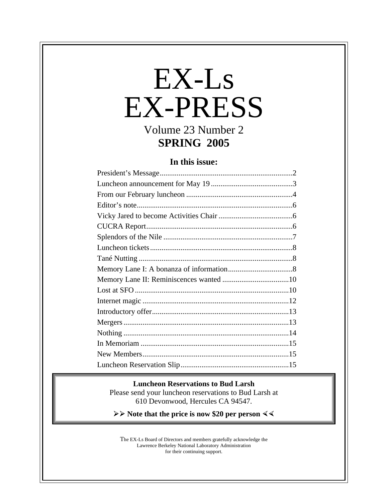# EX-Ls EX-PRESS Volume 23 Number 2

# **SPRING 2005**

# **In this issue:**

#### **Luncheon Reservations to Bud Larsh**

Please send your luncheon reservations to Bud Larsh at 610 Devonwood, Hercules CA 94547.

**≻** ≻ Note that the price is now \$20 per person  $\leq$ 

The EX-Ls Board of Directors and members gratefully acknowledge the Lawrence Berkeley National Laboratory Administration for their continuing support.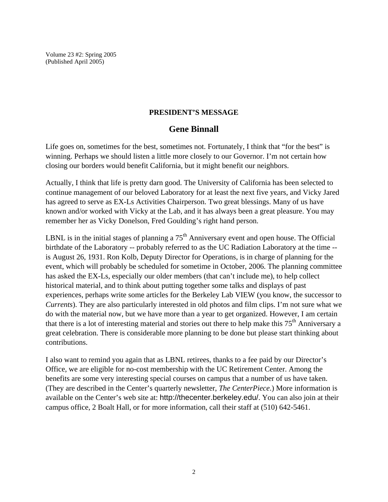Volume 23 #2: Spring 2005 (Published April 2005)

#### **PRESIDENT'S MESSAGE**

### **Gene Binnall**

Life goes on, sometimes for the best, sometimes not. Fortunately, I think that "for the best" is winning. Perhaps we should listen a little more closely to our Governor. I'm not certain how closing our borders would benefit California, but it might benefit our neighbors.

Actually, I think that life is pretty darn good. The University of California has been selected to continue management of our beloved Laboratory for at least the next five years, and Vicky Jared has agreed to serve as EX-Ls Activities Chairperson. Two great blessings. Many of us have known and/or worked with Vicky at the Lab, and it has always been a great pleasure. You may remember her as Vicky Donelson, Fred Goulding's right hand person.

LBNL is in the initial stages of planning a  $75<sup>th</sup>$  Anniversary event and open house. The Official birthdate of the Laboratory -- probably referred to as the UC Radiation Laboratory at the time - is August 26, 1931. Ron Kolb, Deputy Director for Operations, is in charge of planning for the event, which will probably be scheduled for sometime in October, 2006. The planning committee has asked the EX-Ls, especially our older members (that can't include me), to help collect historical material, and to think about putting together some talks and displays of past experiences, perhaps write some articles for the Berkeley Lab VIEW (you know, the successor to *Currents*). They are also particularly interested in old photos and film clips. I'm not sure what we do with the material now, but we have more than a year to get organized. However, I am certain that there is a lot of interesting material and stories out there to help make this 75<sup>th</sup> Anniversary a great celebration. There is considerable more planning to be done but please start thinking about contributions.

I also want to remind you again that as LBNL retirees, thanks to a fee paid by our Director's Office, we are eligible for no-cost membership with the UC Retirement Center. Among the benefits are some very interesting special courses on campus that a number of us have taken. (They are described in the Center's quarterly newsletter, *The CenterPiece*.) More information is available on the Center's web site at: http://thecenter.berkeley.edu/. You can also join at their campus office, 2 Boalt Hall, or for more information, call their staff at (510) 642-5461.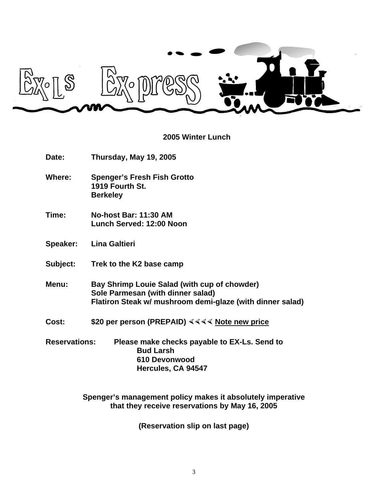

# **2005 Winter Lunch**

| Date:                | Thursday, May 19, 2005                                                                                                                         |  |
|----------------------|------------------------------------------------------------------------------------------------------------------------------------------------|--|
| Where:               | <b>Spenger's Fresh Fish Grotto</b><br>1919 Fourth St.<br><b>Berkeley</b>                                                                       |  |
| Time:                | No-host Bar: 11:30 AM<br>Lunch Served: 12:00 Noon                                                                                              |  |
| Speaker:             | <b>Lina Galtieri</b>                                                                                                                           |  |
| Subject:             | Trek to the K2 base camp                                                                                                                       |  |
| Menu:                | Bay Shrimp Louie Salad (with cup of chowder)<br>Sole Parmesan (with dinner salad)<br>Flatiron Steak w/ mushroom demi-glaze (with dinner salad) |  |
| Cost:                | \$20 per person (PREPAID) $444$ Note new price                                                                                                 |  |
| <b>Reservations:</b> | Please make checks payable to EX-Ls. Send to<br><b>Bud Larsh</b><br>610 Devonwood<br>Hercules, CA 94547                                        |  |

**Spenger's management policy makes it absolutely imperative that they receive reservations by May 16, 2005**

**(Reservation slip on last page)**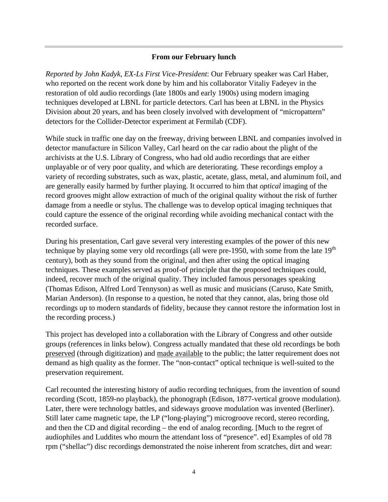#### **From our February lunch**

*Reported by John Kadyk, EX-Ls First Vice-President*: Our February speaker was Carl Haber, who reported on the recent work done by him and his collaborator Vitaliy Fadeyev in the restoration of old audio recordings (late 1800s and early 1900s) using modern imaging techniques developed at LBNL for particle detectors. Carl has been at LBNL in the Physics Division about 20 years, and has been closely involved with development of "micropattern" detectors for the Collider-Detector experiment at Fermilab (CDF).

While stuck in traffic one day on the freeway, driving between LBNL and companies involved in detector manufacture in Silicon Valley, Carl heard on the car radio about the plight of the archivists at the U.S. Library of Congress, who had old audio recordings that are either unplayable or of very poor quality, and which are deteriorating. These recordings employ a variety of recording substrates, such as wax, plastic, acetate, glass, metal, and aluminum foil, and are generally easily harmed by further playing. It occurred to him that *optical* imaging of the record grooves might allow extraction of much of the original quality without the risk of further damage from a needle or stylus. The challenge was to develop optical imaging techniques that could capture the essence of the original recording while avoiding mechanical contact with the recorded surface.

During his presentation, Carl gave several very interesting examples of the power of this new technique by playing some very old recordings (all were pre-1950, with some from the late  $19<sup>th</sup>$ century), both as they sound from the original, and then after using the optical imaging techniques. These examples served as proof-of principle that the proposed techniques could, indeed, recover much of the original quality. They included famous personages speaking (Thomas Edison, Alfred Lord Tennyson) as well as music and musicians (Caruso, Kate Smith, Marian Anderson). (In response to a question, he noted that they cannot, alas, bring those old recordings up to modern standards of fidelity, because they cannot restore the information lost in the recording process.)

This project has developed into a collaboration with the Library of Congress and other outside groups (references in links below). Congress actually mandated that these old recordings be both preserved (through digitization) and made available to the public; the latter requirement does not demand as high quality as the former. The "non-contact" optical technique is well-suited to the preservation requirement.

Carl recounted the interesting history of audio recording techniques, from the invention of sound recording (Scott, 1859-no playback), the phonograph (Edison, 1877-vertical groove modulation). Later, there were technology battles, and sideways groove modulation was invented (Berliner). Still later came magnetic tape, the LP ("long-playing") microgroove record, stereo recording, and then the CD and digital recording – the end of analog recording. [Much to the regret of audiophiles and Luddites who mourn the attendant loss of "presence". ed] Examples of old 78 rpm ("shellac") disc recordings demonstrated the noise inherent from scratches, dirt and wear: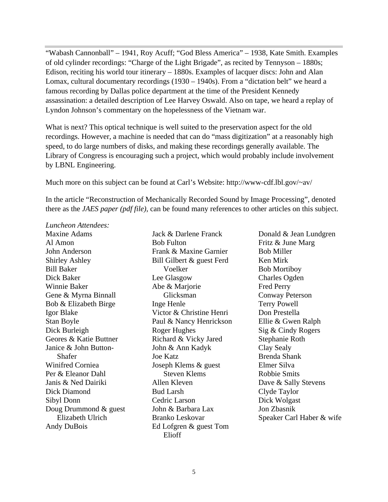"Wabash Cannonball" – 1941, Roy Acuff; "God Bless America" – 1938, Kate Smith. Examples of old cylinder recordings: "Charge of the Light Brigade", as recited by Tennyson – 1880s; Edison, reciting his world tour itinerary – 1880s. Examples of lacquer discs: John and Alan Lomax, cultural documentary recordings (1930 – 1940s). From a "dictation belt" we heard a famous recording by Dallas police department at the time of the President Kennedy assassination: a detailed description of Lee Harvey Oswald. Also on tape, we heard a replay of Lyndon Johnson's commentary on the hopelessness of the Vietnam war.

What is next? This optical technique is well suited to the preservation aspect for the old recordings. However, a machine is needed that can do "mass digitization" at a reasonably high speed, to do large numbers of disks, and making these recordings generally available. The Library of Congress is encouraging such a project, which would probably include involvement by LBNL Engineering.

Much more on this subject can be found at Carl's Website: http://www-cdf.lbl.gov/~av/

In the article "Reconstruction of Mechanically Recorded Sound by Image Processing", denoted there as the *JAES paper (pdf file)*, can be found many references to other articles on this subject.

*Luncheon Attendees:*

Maxine Adams Al Amon John Anderson Shirley Ashley Bill Baker Dick Baker Winnie Baker Gene & Myrna Binnall Bob & Elizabeth Birge Igor Blake Stan Boyle Dick Burleigh Geores & Katie Buttner Janice & John Button-Shafer Winifred Corniea Per & Eleanor Dahl Janis & Ned Dairiki Dick Diamond Sibyl Donn Doug Drummond & guest Elizabeth Ulrich Andy DuBois

Jack & Darlene Franck Bob Fulton Frank & Maxine Garnier Bill Gilbert & guest Ferd Voelker Lee Glasgow Abe & Marjorie Glicksman Inge Henle Victor & Christine Henri Paul & Nancy Henrickson Roger Hughes Richard & Vicky Jared John & Ann Kadyk Joe Katz Joseph Klems & guest Steven Klems Allen Kleven Bud Larsh Cedric Larson John & Barbara Lax Branko Leskovar Ed Lofgren & guest Tom Elioff

Donald & Jean Lundgren Fritz & June Marg Bob Miller Ken Mirk Bob Mortiboy Charles Ogden Fred Perry Conway Peterson Terry Powell Don Prestella Ellie & Gwen Ralph Sig & Cindy Rogers Stephanie Roth Clay Sealy Brenda Shank Elmer Silva Robbie Smits Dave & Sally Stevens Clyde Taylor Dick Wolgast Jon Zbasnik Speaker Carl Haber & wife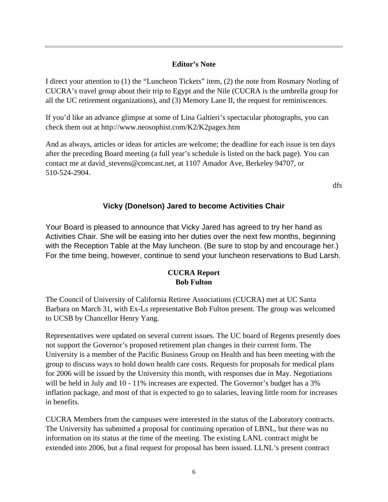#### **Editor's Note**

I direct your attention to (1) the "Luncheon Tickets" item, (2) the note from Rosmary Norling of CUCRA's travel group about their trip to Egypt and the Nile (CUCRA is the umbrella group for all the UC retirement organizations), and (3) Memory Lane II, the request for reminiscences.

If you'd like an advance glimpse at some of Lina Galtieri's spectacular photographs, you can check them out at http://www.neosophist.com/K2/K2pagex.htm

And as always, articles or ideas for articles are welcome; the deadline for each issue is ten days after the preceding Board meeting (a full year's schedule is listed on the back page). You can contact me at david\_stevens@comcast.net, at 1107 Amador Ave, Berkeley 94707, or 510-524-2904.

dfs

## **Vicky (Donelson) Jared to become Activities Chair**

Your Board is pleased to announce that Vicky Jared has agreed to try her hand as Activities Chair. She will be easing into her duties over the next few months, beginning with the Reception Table at the May luncheon. (Be sure to stop by and encourage her.) For the time being, however, continue to send your luncheon reservations to Bud Larsh.

#### **CUCRA Report Bob Fulton**

The Council of University of California Retiree Associations (CUCRA) met at UC Santa Barbara on March 31, with Ex-Ls representative Bob Fulton present. The group was welcomed to UCSB by Chancellor Henry Yang.

Representatives were updated on several current issues. The UC board of Regents presently does not support the Governor's proposed retirement plan changes in their current form. The University is a member of the Pacific Business Group on Health and has been meeting with the group to discuss ways to hold down health care costs. Requests for proposals for medical plans for 2006 will be issued by the University this month, with responses due in May. Negotiations will be held in July and 10 - 11% increases are expected. The Governor's budget has a 3% inflation package, and most of that is expected to go to salaries, leaving little room for increases in benefits.

CUCRA Members from the campuses were interested in the status of the Laboratory contracts. The University has submitted a proposal for continuing operation of LBNL, but there was no information on its status at the time of the meeting. The existing LANL contract might be extended into 2006, but a final request for proposal has been issued. LLNL's present contract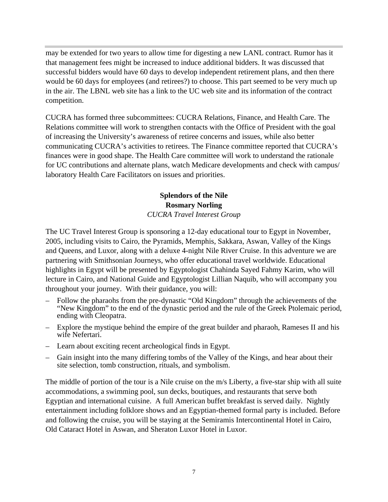may be extended for two years to allow time for digesting a new LANL contract. Rumor has it that management fees might be increased to induce additional bidders. It was discussed that successful bidders would have 60 days to develop independent retirement plans, and then there would be 60 days for employees (and retirees?) to choose. This part seemed to be very much up in the air. The LBNL web site has a link to the UC web site and its information of the contract competition.

CUCRA has formed three subcommittees: CUCRA Relations, Finance, and Health Care. The Relations committee will work to strengthen contacts with the Office of President with the goal of increasing the University's awareness of retiree concerns and issues, while also better communicating CUCRA's activities to retirees. The Finance committee reported that CUCRA's finances were in good shape. The Health Care committee will work to understand the rationale for UC contributions and alternate plans, watch Medicare developments and check with campus/ laboratory Health Care Facilitators on issues and priorities.

### **Splendors of the Nile Rosmary Norling** *CUCRA Travel Interest Group*

The UC Travel Interest Group is sponsoring a 12-day educational tour to Egypt in November, 2005, including visits to Cairo, the Pyramids, Memphis, Sakkara, Aswan, Valley of the Kings and Queens, and Luxor, along with a deluxe 4-night Nile River Cruise. In this adventure we are partnering with Smithsonian Journeys, who offer educational travel worldwide. Educational highlights in Egypt will be presented by Egyptologist Chahinda Sayed Fahmy Karim, who will lecture in Cairo, and National Guide and Egyptologist Lillian Naquib, who will accompany you throughout your journey. With their guidance, you will:

- Follow the pharaohs from the pre-dynastic "Old Kingdom" through the achievements of the "New Kingdom" to the end of the dynastic period and the rule of the Greek Ptolemaic period, ending with Cleopatra.
- Explore the mystique behind the empire of the great builder and pharaoh, Rameses II and his wife Nefertari.
- Learn about exciting recent archeological finds in Egypt.
- Gain insight into the many differing tombs of the Valley of the Kings, and hear about their site selection, tomb construction, rituals, and symbolism.

The middle of portion of the tour is a Nile cruise on the m/s Liberty, a five-star ship with all suite accommodations, a swimming pool, sun decks, boutiques, and restaurants that serve both Egyptian and international cuisine. A full American buffet breakfast is served daily. Nightly entertainment including folklore shows and an Egyptian-themed formal party is included. Before and following the cruise, you will be staying at the Semiramis Intercontinental Hotel in Cairo, Old Cataract Hotel in Aswan, and Sheraton Luxor Hotel in Luxor.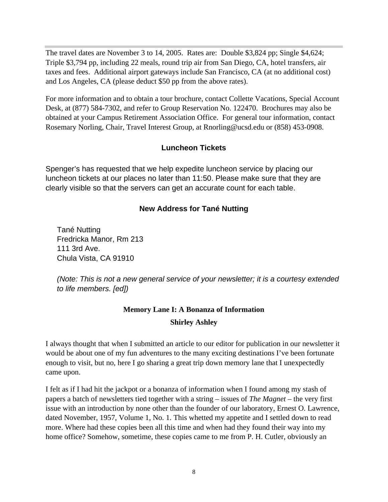The travel dates are November 3 to 14, 2005. Rates are: Double \$3,824 pp; Single \$4,624; Triple \$3,794 pp, including 22 meals, round trip air from San Diego, CA, hotel transfers, air taxes and fees. Additional airport gateways include San Francisco, CA (at no additional cost) and Los Angeles, CA (please deduct \$50 pp from the above rates).

For more information and to obtain a tour brochure, contact Collette Vacations, Special Account Desk, at (877) 584-7302, and refer to Group Reservation No. 122470. Brochures may also be obtained at your Campus Retirement Association Office. For general tour information, contact Rosemary Norling, Chair, Travel Interest Group, at Rnorling@ucsd.edu or (858) 453-0908.

#### **Luncheon Tickets**

Spenger's has requested that we help expedite luncheon service by placing our luncheon tickets at our places no later than 11:50. Please make sure that they are clearly visible so that the servers can get an accurate count for each table.

### **New Address for Tané Nutting**

Tané Nutting Fredricka Manor, Rm 213 111 3rd Ave. Chula Vista, CA 91910

*(Note: This is not a new general service of your newsletter; it is a courtesy extended to life members. [ed])*

# **Memory Lane I: A Bonanza of Information Shirley Ashley**

I always thought that when I submitted an article to our editor for publication in our newsletter it would be about one of my fun adventures to the many exciting destinations I've been fortunate enough to visit, but no, here I go sharing a great trip down memory lane that I unexpectedly came upon.

I felt as if I had hit the jackpot or a bonanza of information when I found among my stash of papers a batch of newsletters tied together with a string – issues of *The Magnet* – the very first issue with an introduction by none other than the founder of our laboratory, Ernest O. Lawrence, dated November, 1957, Volume 1, No. 1. This whetted my appetite and I settled down to read more. Where had these copies been all this time and when had they found their way into my home office? Somehow, sometime, these copies came to me from P. H. Cutler, obviously an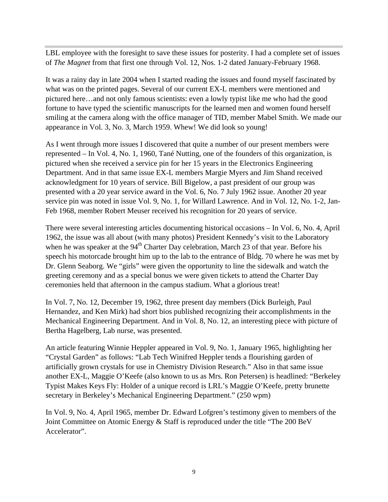LBL employee with the foresight to save these issues for posterity. I had a complete set of issues of *The Magnet* from that first one through Vol. 12, Nos. 1-2 dated January-February 1968.

It was a rainy day in late 2004 when I started reading the issues and found myself fascinated by what was on the printed pages. Several of our current EX-L members were mentioned and pictured here…and not only famous scientists: even a lowly typist like me who had the good fortune to have typed the scientific manuscripts for the learned men and women found herself smiling at the camera along with the office manager of TID, member Mabel Smith. We made our appearance in Vol. 3, No. 3, March 1959. Whew! We did look so young!

As I went through more issues I discovered that quite a number of our present members were represented – In Vol. 4, No. 1, 1960, Tané Nutting, one of the founders of this organization, is pictured when she received a service pin for her 15 years in the Electronics Engineering Department. And in that same issue EX-L members Margie Myers and Jim Shand received acknowledgment for 10 years of service. Bill Bigelow, a past president of our group was presented with a 20 year service award in the Vol. 6, No. 7 July 1962 issue. Another 20 year service pin was noted in issue Vol. 9, No. 1, for Willard Lawrence. And in Vol. 12, No. 1-2, Jan-Feb 1968, member Robert Meuser received his recognition for 20 years of service.

There were several interesting articles documenting historical occasions – In Vol. 6, No. 4, April 1962, the issue was all about (with many photos) President Kennedy's visit to the Laboratory when he was speaker at the 94<sup>th</sup> Charter Day celebration, March 23 of that year. Before his speech his motorcade brought him up to the lab to the entrance of Bldg. 70 where he was met by Dr. Glenn Seaborg. We "girls" were given the opportunity to line the sidewalk and watch the greeting ceremony and as a special bonus we were given tickets to attend the Charter Day ceremonies held that afternoon in the campus stadium. What a glorious treat!

In Vol. 7, No. 12, December 19, 1962, three present day members (Dick Burleigh, Paul Hernandez, and Ken Mirk) had short bios published recognizing their accomplishments in the Mechanical Engineering Department. And in Vol. 8, No. 12, an interesting piece with picture of Bertha Hagelberg, Lab nurse, was presented.

An article featuring Winnie Heppler appeared in Vol. 9, No. 1, January 1965, highlighting her "Crystal Garden" as follows: "Lab Tech Winifred Heppler tends a flourishing garden of artificially grown crystals for use in Chemistry Division Research." Also in that same issue another EX-L, Maggie O'Keefe (also known to us as Mrs. Ron Petersen) is headlined: "Berkeley Typist Makes Keys Fly: Holder of a unique record is LRL's Maggie O'Keefe, pretty brunette secretary in Berkeley's Mechanical Engineering Department." (250 wpm)

In Vol. 9, No. 4, April 1965, member Dr. Edward Lofgren's testimony given to members of the Joint Committee on Atomic Energy & Staff is reproduced under the title "The 200 BeV Accelerator".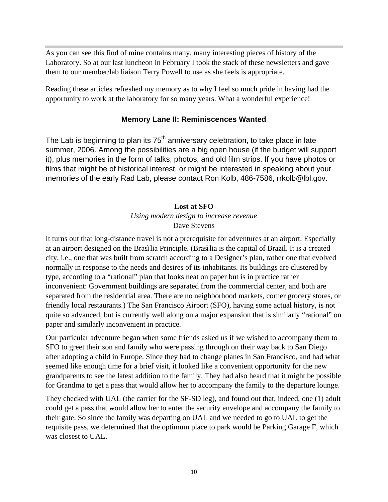As you can see this find of mine contains many, many interesting pieces of history of the Laboratory. So at our last luncheon in February I took the stack of these newsletters and gave them to our member/lab liaison Terry Powell to use as she feels is appropriate.

Reading these articles refreshed my memory as to why I feel so much pride in having had the opportunity to work at the laboratory for so many years. What a wonderful experience!

#### **Memory Lane II: Reminiscences Wanted**

The Lab is beginning to plan its  $75<sup>th</sup>$  anniversary celebration, to take place in late summer, 2006. Among the possibilities are a big open house (if the budget will support it), plus memories in the form of talks, photos, and old film strips. If you have photos or films that might be of historical interest, or might be interested in speaking about your memories of the early Rad Lab, please contact Ron Kolb, 486-7586, rrkolb@lbl.gov.

#### **Lost at SFO**

#### *Using modern design to increase revenue* Dave Stevens

It turns out that long-distance travel is not a prerequisite for adventures at an airport. Especially at an airport designed on the Brasìlia Principle. (Brasìlia is the capital of Brazil. It is a created city, i.e., one that was built from scratch according to a Designer's plan, rather one that evolved normally in response to the needs and desires of its inhabitants. Its buildings are clustered by type, according to a "rational" plan that looks neat on paper but is in practice rather inconvenient: Government buildings are separated from the commercial center, and both are separated from the residential area. There are no neighborhood markets, corner grocery stores, or friendly local restaurants.) The San Francisco Airport (SFO), having some actual history, is not quite so advanced, but is currently well along on a major expansion that is similarly "rational" on paper and similarly inconvenient in practice.

Our particular adventure began when some friends asked us if we wished to accompany them to SFO to greet their son and family who were passing through on their way back to San Diego after adopting a child in Europe. Since they had to change planes in San Francisco, and had what seemed like enough time for a brief visit, it looked like a convenient opportunity for the new grandparents to see the latest addition to the family. They had also heard that it might be possible for Grandma to get a pass that would allow her to accompany the family to the departure lounge.

They checked with UAL (the carrier for the SF-SD leg), and found out that, indeed, one (1) adult could get a pass that would allow her to enter the security envelope and accompany the family to their gate. So since the family was departing on UAL and we needed to go to UAL to get the requisite pass, we determined that the optimum place to park would be Parking Garage F, which was closest to UAL.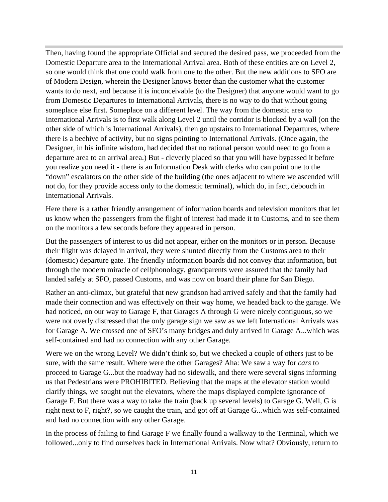Then, having found the appropriate Official and secured the desired pass, we proceeded from the Domestic Departure area to the International Arrival area. Both of these entities are on Level 2, so one would think that one could walk from one to the other. But the new additions to SFO are of Modern Design, wherein the Designer knows better than the customer what the customer wants to do next, and because it is inconceivable (to the Designer) that anyone would want to go from Domestic Departures to International Arrivals, there is no way to do that without going someplace else first. Someplace on a different level. The way from the domestic area to International Arrivals is to first walk along Level 2 until the corridor is blocked by a wall (on the other side of which is International Arrivals), then go upstairs to International Departures, where there is a beehive of activity, but no signs pointing to International Arrivals. (Once again, the Designer, in his infinite wisdom, had decided that no rational person would need to go from a departure area to an arrival area.) But - cleverly placed so that you will have bypassed it before you realize you need it - there is an Information Desk with clerks who can point one to the "down" escalators on the other side of the building (the ones adjacent to where we ascended will not do, for they provide access only to the domestic terminal), which do, in fact, debouch in International Arrivals.

Here there is a rather friendly arrangement of information boards and television monitors that let us know when the passengers from the flight of interest had made it to Customs, and to see them on the monitors a few seconds before they appeared in person.

But the passengers of interest to us did not appear, either on the monitors or in person. Because their flight was delayed in arrival, they were shunted directly from the Customs area to their (domestic) departure gate. The friendly information boards did not convey that information, but through the modern miracle of cellphonology, grandparents were assured that the family had landed safely at SFO, passed Customs, and was now on board their plane for San Diego.

Rather an anti-climax, but grateful that new grandson had arrived safely and that the family had made their connection and was effectively on their way home, we headed back to the garage. We had noticed, on our way to Garage F, that Garages A through G were nicely contiguous, so we were not overly distressed that the only garage sign we saw as we left International Arrivals was for Garage A. We crossed one of SFO's many bridges and duly arrived in Garage A...which was self-contained and had no connection with any other Garage.

Were we on the wrong Level? We didn't think so, but we checked a couple of others just to be sure, with the same result. Where were the other Garages? Aha: We saw a way for *cars* to proceed to Garage G...but the roadway had no sidewalk, and there were several signs informing us that Pedestrians were PROHIBITED. Believing that the maps at the elevator station would clarify things, we sought out the elevators, where the maps displayed complete ignorance of Garage F. But there was a way to take the train (back up several levels) to Garage G. Well, G is right next to F, right?, so we caught the train, and got off at Garage G...which was self-contained and had no connection with any other Garage.

In the process of failing to find Garage F we finally found a walkway to the Terminal, which we followed...only to find ourselves back in International Arrivals. Now what? Obviously, return to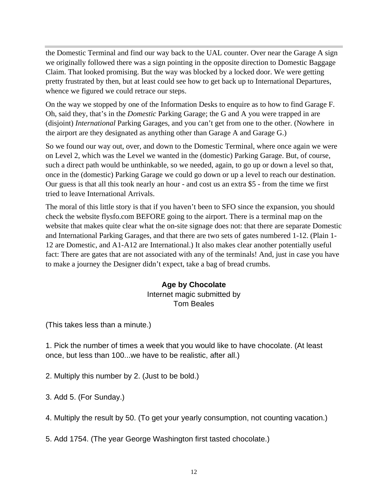the Domestic Terminal and find our way back to the UAL counter. Over near the Garage A sign we originally followed there was a sign pointing in the opposite direction to Domestic Baggage Claim. That looked promising. But the way was blocked by a locked door. We were getting pretty frustrated by then, but at least could see how to get back up to International Departures, whence we figured we could retrace our steps.

On the way we stopped by one of the Information Desks to enquire as to how to find Garage F. Oh, said they, that's in the *Domestic* Parking Garage; the G and A you were trapped in are (disjoint) *International* Parking Garages, and you can't get from one to the other. (Nowhere in the airport are they designated as anything other than Garage A and Garage G.)

So we found our way out, over, and down to the Domestic Terminal, where once again we were on Level 2, which was the Level we wanted in the (domestic) Parking Garage. But, of course, such a direct path would be unthinkable, so we needed, again, to go up or down a level so that, once in the (domestic) Parking Garage we could go down or up a level to reach our destination. Our guess is that all this took nearly an hour - and cost us an extra \$5 - from the time we first tried to leave International Arrivals.

The moral of this little story is that if you haven't been to SFO since the expansion, you should check the website flysfo.com BEFORE going to the airport. There is a terminal map on the website that makes quite clear what the on-site signage does not: that there are separate Domestic and International Parking Garages, and that there are two sets of gates numbered 1-12. (Plain 1- 12 are Domestic, and A1-A12 are International.) It also makes clear another potentially useful fact: There are gates that are not associated with any of the terminals! And, just in case you have to make a journey the Designer didn't expect, take a bag of bread crumbs.

#### **Age by Chocolate** Internet magic submitted by Tom Beales

(This takes less than a minute.)

1. Pick the number of times a week that you would like to have chocolate. (At least once, but less than 100...we have to be realistic, after all.)

2. Multiply this number by 2. (Just to be bold.)

3. Add 5. (For Sunday.)

4. Multiply the result by 50. (To get your yearly consumption, not counting vacation.)

5. Add 1754. (The year George Washington first tasted chocolate.)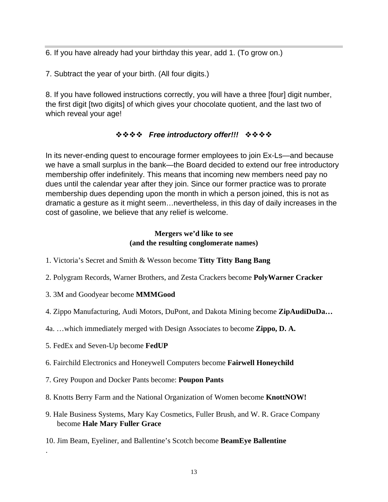6. If you have already had your birthday this year, add 1. (To grow on.)

7. Subtract the year of your birth. (All four digits.)

8. If you have followed instructions correctly, you will have a three [four] digit number, the first digit [two digits] of which gives your chocolate quotient, and the last two of which reveal your age!

### $\diamond$ **◇◇◇** Free introductory offer!!! ◇◇◇◇

In its never-ending quest to encourage former employees to join Ex-Ls—and because we have a small surplus in the bank—the Board decided to extend our free introductory membership offer indefinitely. This means that incoming new members need pay no dues until the calendar year after they join. Since our former practice was to prorate membership dues depending upon the month in which a person joined, this is not as dramatic a gesture as it might seem…nevertheless, in this day of daily increases in the cost of gasoline, we believe that any relief is welcome.

#### **Mergers we'd like to see (and the resulting conglomerate names)**

- 1. Victoria's Secret and Smith & Wesson become **Titty Titty Bang Bang**
- 2. Polygram Records, Warner Brothers, and Zesta Crackers become **PolyWarner Cracker**
- 3. 3M and Goodyear become **MMMGood**
- 4. Zippo Manufacturing, Audi Motors, DuPont, and Dakota Mining become **ZipAudiDuDa…**
- 4a. …which immediately merged with Design Associates to become **Zippo, D. A.**
- 5. FedEx and Seven-Up become **FedUP**

.

- 6. Fairchild Electronics and Honeywell Computers become **Fairwell Honeychild**
- 7. Grey Poupon and Docker Pants become: **Poupon Pants**
- 8. Knotts Berry Farm and the National Organization of Women become **KnottNOW!**
- 9. Hale Business Systems, Mary Kay Cosmetics, Fuller Brush, and W. R. Grace Company become **Hale Mary Fuller Grace**
- 10. Jim Beam, Eyeliner, and Ballentine's Scotch become **BeamEye Ballentine**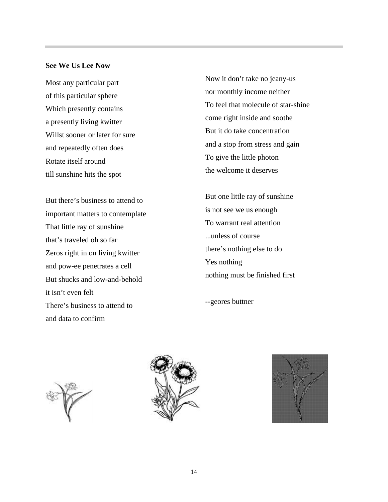#### **See We Us Lee Now**

Most any particular part of this particular sphere Which presently contains a presently living kwitter Willst sooner or later for sure and repeatedly often does Rotate itself around till sunshine hits the spot

But there's business to attend to important matters to contemplate That little ray of sunshine that's traveled oh so far Zeros right in on living kwitter and pow-ee penetrates a cell But shucks and low-and-behold it isn't even felt There's business to attend to and data to confirm

Now it don't take no jeany-us nor monthly income neither To feel that molecule of star-shine come right inside and soothe But it do take concentration and a stop from stress and gain To give the little photon the welcome it deserves

But one little ray of sunshine is not see we us enough To warrant real attention ...unless of course there's nothing else to do Yes nothing nothing must be finished first

--geores buttner





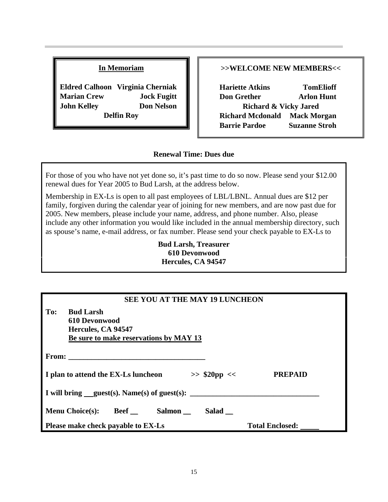#### **In Memoriam**

**Eldred Calhoon Virginia Cherniak Marian Crew Jock Fugitt John Kelley Don Nelson Delfin Roy**

#### **>>WELCOME NEW MEMBERS<<**

**Hariette Atkins TomElioff Don Grether Arlon Hunt Richard & Vicky Jared Richard Mcdonald Mack Morgan Barrie Pardoe Suzanne Stroh**

#### **Renewal Time: Dues due**

For those of you who have not yet done so, it's past time to do so now. Please send your \$12.00 renewal dues for Year 2005 to Bud Larsh, at the address below.

Membership in EX-Ls is open to all past employees of LBL/LBNL. Annual dues are \$12 per family, forgiven during the calendar year of joining for new members, and are now past due for 2005. New members, please include your name, address, and phone number. Also, please include any other information you would like included in the annual membership directory, such as spouse's name, e-mail address, or fax number. Please send your check payable to EX-Ls to

> **Bud Larsh, Treasurer 610 Devonwood Hercules, CA 94547**

| <b>SEE YOU AT THE MAY 19 LUNCHEON</b>                                                                    |                        |  |  |
|----------------------------------------------------------------------------------------------------------|------------------------|--|--|
| <b>Bud Larsh</b><br>To:<br>610 Devonwood<br>Hercules, CA 94547<br>Be sure to make reservations by MAY 13 |                        |  |  |
|                                                                                                          |                        |  |  |
| I plan to attend the EX-Ls luncheon<br>$>>$ \$20pp <<                                                    | <b>PREPAID</b>         |  |  |
| I will bring $quest(s)$ . Name(s) of guest(s):                                                           |                        |  |  |
| <b>Menu Choice(s):</b><br><b>Beef</b> Salmon<br>Salad                                                    |                        |  |  |
| Please make check payable to EX-Ls                                                                       | <b>Total Enclosed:</b> |  |  |